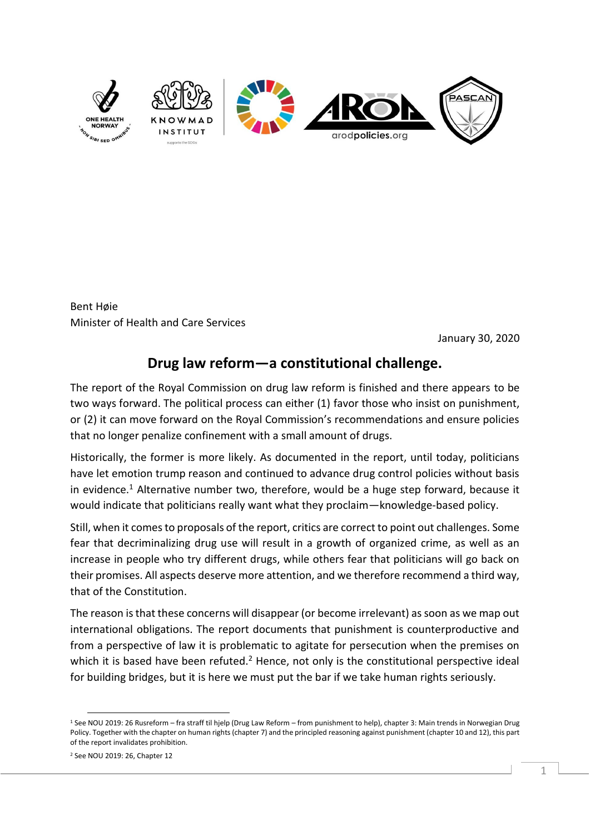

Bent Høie Minister of Health and Care Services

January 30, 2020

## **Drug law reform—a constitutional challenge.**

The report of the Royal Commission on drug law reform is finished and there appears to be two ways forward. The political process can either (1) favor those who insist on punishment, or (2) it can move forward on the Royal Commission's recommendations and ensure policies that no longer penalize confinement with a small amount of drugs.

Historically, the former is more likely. As documented in the report, until today, politicians have let emotion trump reason and continued to advance drug control policies without basis in evidence.<sup>1</sup> Alternative number two, therefore, would be a huge step forward, because it would indicate that politicians really want what they proclaim—knowledge-based policy.

Still, when it comes to proposals of the report, critics are correct to point out challenges. Some fear that decriminalizing drug use will result in a growth of organized crime, as well as an increase in people who try different drugs, while others fear that politicians will go back on their promises. All aspects deserve more attention, and we therefore recommend a third way, that of the Constitution.

The reason is that these concerns will disappear (or become irrelevant) as soon as we map out international obligations. The report documents that punishment is counterproductive and from a perspective of law it is problematic to agitate for persecution when the premises on which it is based have been refuted.<sup>2</sup> Hence, not only is the constitutional perspective ideal for building bridges, but it is here we must put the bar if we take human rights seriously.

<sup>1</sup> See NOU 2019: 26 Rusreform – fra straff til hjelp (Drug Law Reform – from punishment to help), chapter 3: Main trends in Norwegian Drug Policy. Together with the chapter on human rights (chapter 7) and the principled reasoning against punishment (chapter 10 and 12), this part of the report invalidates prohibition.

<sup>2</sup> See NOU 2019: 26, Chapter 12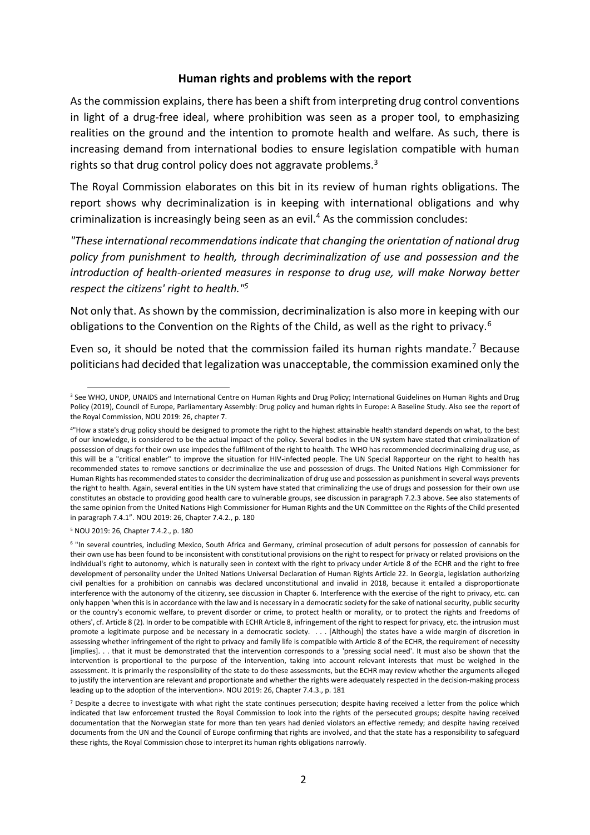## **Human rights and problems with the report**

As the commission explains, there has been a shift from interpreting drug control conventions in light of a drug-free ideal, where prohibition was seen as a proper tool, to emphasizing realities on the ground and the intention to promote health and welfare. As such, there is increasing demand from international bodies to ensure legislation compatible with human rights so that drug control policy does not aggravate problems. $3$ 

The Royal Commission elaborates on this bit in its review of human rights obligations. The report shows why decriminalization is in keeping with international obligations and why criminalization is increasingly being seen as an evil.<sup>4</sup> As the commission concludes:

*"These international recommendations indicate that changing the orientation of national drug policy from punishment to health, through decriminalization of use and possession and the introduction of health-oriented measures in response to drug use, will make Norway better respect the citizens' right to health."<sup>5</sup>*

Not only that. As shown by the commission, decriminalization is also more in keeping with our obligations to the Convention on the Rights of the Child, as well as the right to privacy.<sup>6</sup>

Even so, it should be noted that the commission failed its human rights mandate.<sup>7</sup> Because politicians had decided that legalization was unacceptable, the commission examined only the

<sup>&</sup>lt;sup>3</sup> See WHO, UNDP, UNAIDS and International Centre on Human Rights and Drug Policy; International Guidelines on Human Rights and Drug Policy (2019), Council of Europe, Parliamentary Assembly: Drug policy and human rights in Europe: A Baseline Study. Also see the report of the Royal Commission, NOU 2019: 26, chapter 7.

<sup>4</sup> "How a state's drug policy should be designed to promote the right to the highest attainable health standard depends on what, to the best of our knowledge, is considered to be the actual impact of the policy. Several bodies in the UN system have stated that criminalization of possession of drugs for their own use impedes the fulfilment of the right to health. The WHO has recommended decriminalizing drug use, as this will be a "critical enabler" to improve the situation for HIV-infected people. The UN Special Rapporteur on the right to health has recommended states to remove sanctions or decriminalize the use and possession of drugs. The United Nations High Commissioner for Human Rights has recommended states to consider the decriminalization of drug use and possession as punishment in several ways prevents the right to health. Again, several entities in the UN system have stated that criminalizing the use of drugs and possession for their own use constitutes an obstacle to providing good health care to vulnerable groups, see discussion in paragraph 7.2.3 above. See also statements of the same opinion from the United Nations High Commissioner for Human Rights and the UN Committee on the Rights of the Child presented in paragraph 7.4.1". NOU 2019: 26, Chapter 7.4.2., p. 180

<sup>5</sup> NOU 2019: 26, Chapter 7.4.2., p. 180

<sup>6</sup> "In several countries, including Mexico, South Africa and Germany, criminal prosecution of adult persons for possession of cannabis for their own use has been found to be inconsistent with constitutional provisions on the right to respect for privacy or related provisions on the individual's right to autonomy, which is naturally seen in context with the right to privacy under Article 8 of the ECHR and the right to free development of personality under the United Nations Universal Declaration of Human Rights Article 22. In Georgia, legislation authorizing civil penalties for a prohibition on cannabis was declared unconstitutional and invalid in 2018, because it entailed a disproportionate interference with the autonomy of the citizenry, see discussion in Chapter 6. Interference with the exercise of the right to privacy, etc. can only happen 'when this is in accordance with the law and is necessary in a democratic society for the sake of national security, public security or the country's economic welfare, to prevent disorder or crime, to protect health or morality, or to protect the rights and freedoms of others', cf. Article 8 (2). In order to be compatible with ECHR Article 8, infringement of the right to respect for privacy, etc. the intrusion must promote a legitimate purpose and be necessary in a democratic society. . . . [Although] the states have a wide margin of discretion in assessing whether infringement of the right to privacy and family life is compatible with Article 8 of the ECHR, the requirement of necessity [implies]. . . that it must be demonstrated that the intervention corresponds to a 'pressing social need'. It must also be shown that the intervention is proportional to the purpose of the intervention, taking into account relevant interests that must be weighed in the assessment. It is primarily the responsibility of the state to do these assessments, but the ECHR may review whether the arguments alleged to justify the intervention are relevant and proportionate and whether the rights were adequately respected in the decision-making process leading up to the adoption of the intervention». NOU 2019: 26, Chapter 7.4.3., p. 181

 $<sup>7</sup>$  Despite a decree to investigate with what right the state continues persecution; despite having received a letter from the police which</sup> indicated that law enforcement trusted the Royal Commission to look into the rights of the persecuted groups; despite having received documentation that the Norwegian state for more than ten years had denied violators an effective remedy; and despite having received documents from the UN and the Council of Europe confirming that rights are involved, and that the state has a responsibility to safeguard these rights, the Royal Commission chose to interpret its human rights obligations narrowly.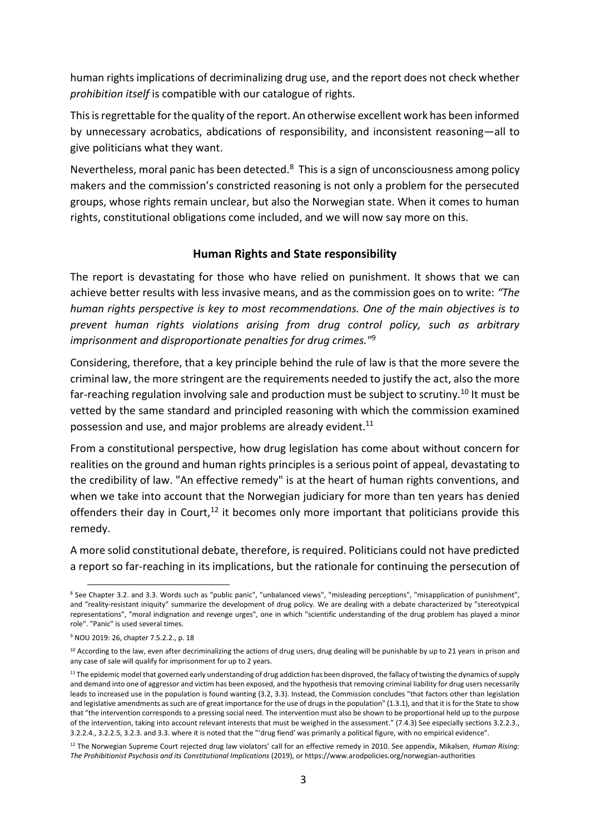human rights implications of decriminalizing drug use, and the report does not check whether *prohibition itself* is compatible with our catalogue of rights.

This is regrettable for the quality of the report. An otherwise excellent work has been informed by unnecessary acrobatics, abdications of responsibility, and inconsistent reasoning—all to give politicians what they want.

Nevertheless, moral panic has been detected.<sup>8</sup> This is a sign of unconsciousness among policy makers and the commission's constricted reasoning is not only a problem for the persecuted groups, whose rights remain unclear, but also the Norwegian state. When it comes to human rights, constitutional obligations come included, and we will now say more on this.

## **Human Rights and State responsibility**

The report is devastating for those who have relied on punishment. It shows that we can achieve better results with less invasive means, and as the commission goes on to write: *"The human rights perspective is key to most recommendations. One of the main objectives is to prevent human rights violations arising from drug control policy, such as arbitrary imprisonment and disproportionate penalties for drug crimes."*<sup>9</sup>

Considering, therefore, that a key principle behind the rule of law is that the more severe the criminal law, the more stringent are the requirements needed to justify the act, also the more far-reaching regulation involving sale and production must be subject to scrutiny.<sup>10</sup> It must be vetted by the same standard and principled reasoning with which the commission examined possession and use, and major problems are already evident.<sup>11</sup>

From a constitutional perspective, how drug legislation has come about without concern for realities on the ground and human rights principles is a serious point of appeal, devastating to the credibility of law. "An effective remedy" is at the heart of human rights conventions, and when we take into account that the Norwegian judiciary for more than ten years has denied offenders their day in Court, $12$  it becomes only more important that politicians provide this remedy.

A more solid constitutional debate, therefore, is required. Politicians could not have predicted a report so far-reaching in its implications, but the rationale for continuing the persecution of

<sup>8</sup> See Chapter 3.2. and 3.3. Words such as "public panic", "unbalanced views", "misleading perceptions", "misapplication of punishment", and "reality-resistant iniquity" summarize the development of drug policy. We are dealing with a debate characterized by "stereotypical representations", "moral indignation and revenge urges", one in which "scientific understanding of the drug problem has played a minor role". "Panic" is used several times.

<sup>9</sup> NOU 2019: 26, chapter 7.5.2.2., p. 18

<sup>&</sup>lt;sup>10</sup> According to the law, even after decriminalizing the actions of drug users, drug dealing will be punishable by up to 21 years in prison and any case of sale will qualify for imprisonment for up to 2 years.

<sup>&</sup>lt;sup>11</sup> The epidemic model that governed early understanding of drug addiction has been disproved, the fallacy of twisting the dynamics of supply and demand into one of aggressor and victim has been exposed, and the hypothesis that removing criminal liability for drug users necessarily leads to increased use in the population is found wanting (3.2, 3.3). Instead, the Commission concludes "that factors other than legislation and legislative amendments as such are of great importance for the use of drugs in the population" (1.3.1), and that it is for the State to show that "the intervention corresponds to a pressing social need. The intervention must also be shown to be proportional held up to the purpose of the intervention, taking into account relevant interests that must be weighed in the assessment." (7.4.3) See especially sections 3.2.2.3., 3.2.2.4., 3.2.2.5, 3.2.3. and 3.3. where it is noted that the "'drug fiendʹ was primarily a political figure, with no empirical evidence".

<sup>12</sup> The Norwegian Supreme Court rejected drug law violators' call for an effective remedy in 2010. See appendix, Mikalsen, *Human Rising: The Prohibitionist Psychosis and its Constitutional Implications* (2019), or https://www.arodpolicies.org/norwegian-authorities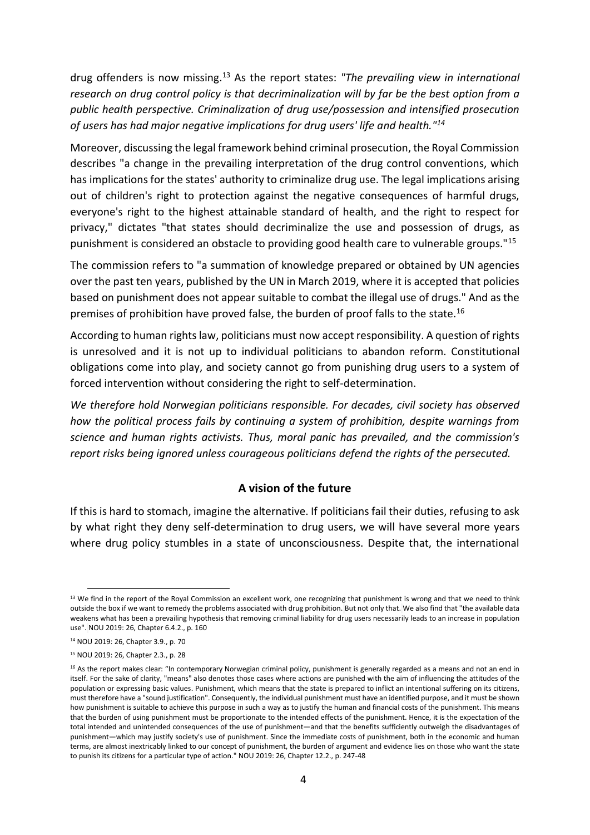drug offenders is now missing.<sup>13</sup> As the report states: *"The prevailing view in international research on drug control policy is that decriminalization will by far be the best option from a public health perspective. Criminalization of drug use/possession and intensified prosecution of users has had major negative implications for drug users' life and health."<sup>14</sup>*

Moreover, discussing the legal framework behind criminal prosecution, the Royal Commission describes "a change in the prevailing interpretation of the drug control conventions, which has implications for the states' authority to criminalize drug use. The legal implications arising out of children's right to protection against the negative consequences of harmful drugs, everyone's right to the highest attainable standard of health, and the right to respect for privacy," dictates "that states should decriminalize the use and possession of drugs, as punishment is considered an obstacle to providing good health care to vulnerable groups."<sup>15</sup>

The commission refers to "a summation of knowledge prepared or obtained by UN agencies over the past ten years, published by the UN in March 2019, where it is accepted that policies based on punishment does not appear suitable to combat the illegal use of drugs." And as the premises of prohibition have proved false, the burden of proof falls to the state.<sup>16</sup>

According to human rights law, politicians must now accept responsibility. A question of rights is unresolved and it is not up to individual politicians to abandon reform. Constitutional obligations come into play, and society cannot go from punishing drug users to a system of forced intervention without considering the right to self-determination.

*We therefore hold Norwegian politicians responsible. For decades, civil society has observed how the political process fails by continuing a system of prohibition, despite warnings from science and human rights activists. Thus, moral panic has prevailed, and the commission's report risks being ignored unless courageous politicians defend the rights of the persecuted.* 

## **A vision of the future**

If this is hard to stomach, imagine the alternative. If politicians fail their duties, refusing to ask by what right they deny self-determination to drug users, we will have several more years where drug policy stumbles in a state of unconsciousness. Despite that, the international

 $<sup>13</sup>$  We find in the report of the Royal Commission an excellent work, one recognizing that punishment is wrong and that we need to think</sup> outside the box if we want to remedy the problems associated with drug prohibition. But not only that. We also find that "the available data weakens what has been a prevailing hypothesis that removing criminal liability for drug users necessarily leads to an increase in population use". NOU 2019: 26, Chapter 6.4.2., p. 160

<sup>14</sup> NOU 2019: 26, Chapter 3.9., p. 70

<sup>15</sup> NOU 2019: 26, Chapter 2.3., p. 28

<sup>&</sup>lt;sup>16</sup> As the report makes clear: "In contemporary Norwegian criminal policy, punishment is generally regarded as a means and not an end in itself. For the sake of clarity, "means" also denotes those cases where actions are punished with the aim of influencing the attitudes of the population or expressing basic values. Punishment, which means that the state is prepared to inflict an intentional suffering on its citizens, must therefore have a "sound justification". Consequently, the individual punishment must have an identified purpose, and it must be shown how punishment is suitable to achieve this purpose in such a way as to justify the human and financial costs of the punishment. This means that the burden of using punishment must be proportionate to the intended effects of the punishment. Hence, it is the expectation of the total intended and unintended consequences of the use of punishment—and that the benefits sufficiently outweigh the disadvantages of punishment—which may justify society's use of punishment. Since the immediate costs of punishment, both in the economic and human terms, are almost inextricably linked to our concept of punishment, the burden of argument and evidence lies on those who want the state to punish its citizens for a particular type of action." NOU 2019: 26, Chapter 12.2., p. 247-48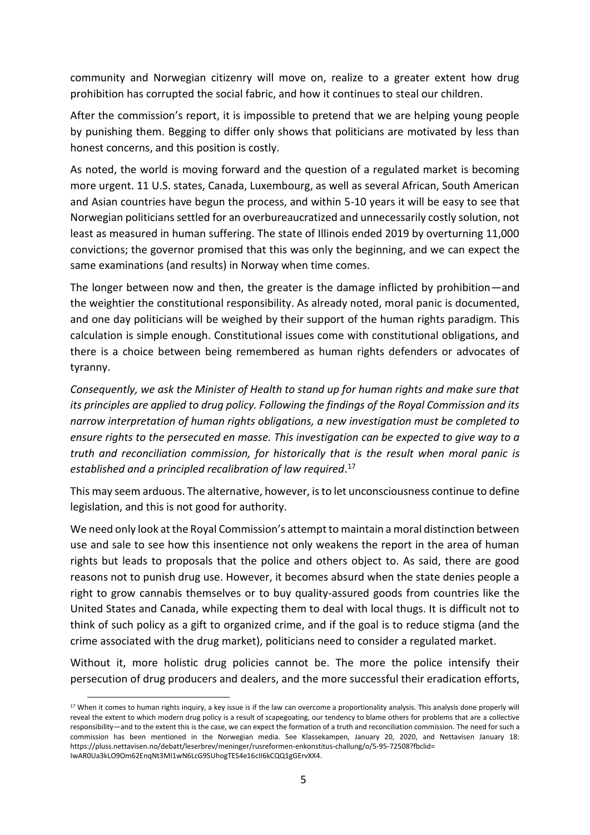community and Norwegian citizenry will move on, realize to a greater extent how drug prohibition has corrupted the social fabric, and how it continues to steal our children.

After the commission's report, it is impossible to pretend that we are helping young people by punishing them. Begging to differ only shows that politicians are motivated by less than honest concerns, and this position is costly.

As noted, the world is moving forward and the question of a regulated market is becoming more urgent. 11 U.S. states, Canada, Luxembourg, as well as several African, South American and Asian countries have begun the process, and within 5-10 years it will be easy to see that Norwegian politicians settled for an overbureaucratized and unnecessarily costly solution, not least as measured in human suffering. The state of Illinois ended 2019 by overturning 11,000 convictions; the governor promised that this was only the beginning, and we can expect the same examinations (and results) in Norway when time comes.

The longer between now and then, the greater is the damage inflicted by prohibition—and the weightier the constitutional responsibility. As already noted, moral panic is documented, and one day politicians will be weighed by their support of the human rights paradigm. This calculation is simple enough. Constitutional issues come with constitutional obligations, and there is a choice between being remembered as human rights defenders or advocates of tyranny.

*Consequently, we ask the Minister of Health to stand up for human rights and make sure that its principles are applied to drug policy. Following the findings of the Royal Commission and its narrow interpretation of human rights obligations, a new investigation must be completed to ensure rights to the persecuted en masse. This investigation can be expected to give way to a truth and reconciliation commission, for historically that is the result when moral panic is established and a principled recalibration of law required*. 17

This may seem arduous. The alternative, however, is to let unconsciousness continue to define legislation, and this is not good for authority.

We need only look at the Royal Commission's attempt to maintain a moral distinction between use and sale to see how this insentience not only weakens the report in the area of human rights but leads to proposals that the police and others object to. As said, there are good reasons not to punish drug use. However, it becomes absurd when the state denies people a right to grow cannabis themselves or to buy quality-assured goods from countries like the United States and Canada, while expecting them to deal with local thugs. It is difficult not to think of such policy as a gift to organized crime, and if the goal is to reduce stigma (and the crime associated with the drug market), politicians need to consider a regulated market.

Without it, more holistic drug policies cannot be. The more the police intensify their persecution of drug producers and dealers, and the more successful their eradication efforts,

<sup>&</sup>lt;sup>17</sup> When it comes to human rights inquiry, a key issue is if the law can overcome a proportionality analysis. This analysis done properly will reveal the extent to which modern drug policy is a result of scapegoating, our tendency to blame others for problems that are a collective responsibility—and to the extent this is the case, we can expect the formation of a truth and reconciliation commission. The need for such a commission has been mentioned in the Norwegian media. See Klassekampen, January 20, 2020, and Nettavisen January 18: https://pluss.nettavisen.no/debatt/leserbrev/meninger/rusreformen-enkonstitus-challung/o/5-95-72508?fbclid= IwAR0Ua3kLO9Om62EnqNt3MI1wN6LcG9SUhogTES4e16cII6kCQQ1gGErvXX4.